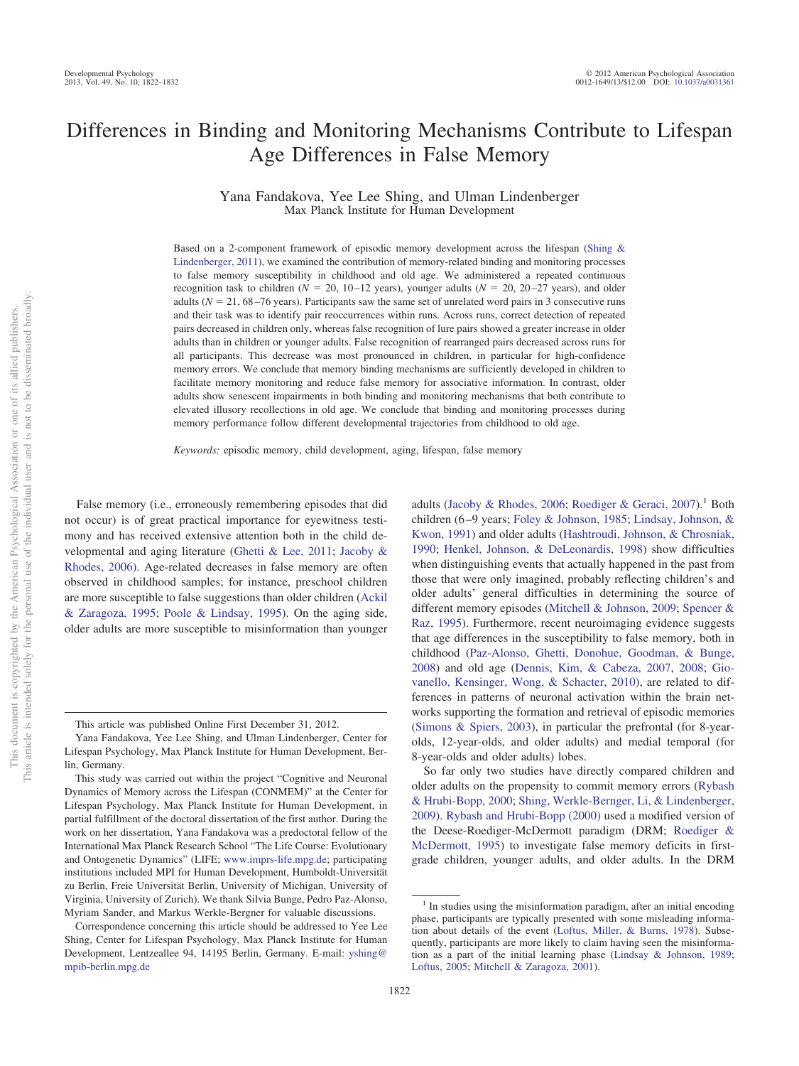# Differences in Binding and Monitoring Mechanisms Contribute to Lifespan Age Differences in False Memory

Yana Fandakova, Yee Lee Shing, and Ulman Lindenberger Max Planck Institute for Human Development

Based on a 2-component framework of episodic memory development across the lifespan [\(Shing &](#page-10-0) [Lindenberger, 2011\)](#page-10-0), we examined the contribution of memory-related binding and monitoring processes to false memory susceptibility in childhood and old age. We administered a repeated continuous recognition task to children ( $N = 20$ , 10–12 years), younger adults ( $N = 20$ , 20–27 years), and older adults ( $N = 21$ , 68-76 years). Participants saw the same set of unrelated word pairs in 3 consecutive runs and their task was to identify pair reoccurrences within runs. Across runs, correct detection of repeated pairs decreased in children only, whereas false recognition of lure pairs showed a greater increase in older adults than in children or younger adults. False recognition of rearranged pairs decreased across runs for all participants. This decrease was most pronounced in children, in particular for high-confidence memory errors. We conclude that memory binding mechanisms are sufficiently developed in children to facilitate memory monitoring and reduce false memory for associative information. In contrast, older adults show senescent impairments in both binding and monitoring mechanisms that both contribute to elevated illusory recollections in old age. We conclude that binding and monitoring processes during memory performance follow different developmental trajectories from childhood to old age.

*Keywords:* episodic memory, child development, aging, lifespan, false memory

False memory (i.e., erroneously remembering episodes that did not occur) is of great practical importance for eyewitness testimony and has received extensive attention both in the child developmental and aging literature [\(Ghetti & Lee, 2011;](#page-8-0) [Jacoby &](#page-9-0) [Rhodes, 2006\)](#page-9-0). Age-related decreases in false memory are often observed in childhood samples; for instance, preschool children are more susceptible to false suggestions than older children [\(Ackil](#page-8-1) [& Zaragoza, 1995;](#page-8-1) [Poole & Lindsay, 1995\)](#page-9-1). On the aging side, older adults are more susceptible to misinformation than younger adults [\(Jacoby & Rhodes, 2006;](#page-9-0) [Roediger & Geraci, 2007\)](#page-10-1).<sup>1</sup> Both children (6 –9 years; [Foley & Johnson, 1985;](#page-8-2) [Lindsay, Johnson, &](#page-9-2) [Kwon, 1991\)](#page-9-2) and older adults [\(Hashtroudi, Johnson, & Chrosniak,](#page-9-3) [1990;](#page-9-3) [Henkel, Johnson, & DeLeonardis, 1998\)](#page-9-4) show difficulties when distinguishing events that actually happened in the past from those that were only imagined, probably reflecting children's and older adults' general difficulties in determining the source of different memory episodes [\(Mitchell & Johnson, 2009;](#page-9-5) [Spencer &](#page-10-2) [Raz, 1995\)](#page-10-2). Furthermore, recent neuroimaging evidence suggests that age differences in the susceptibility to false memory, both in childhood [\(Paz-Alonso, Ghetti, Donohue, Goodman, & Bunge,](#page-9-6) [2008\)](#page-9-6) and old age [\(Dennis, Kim, & Cabeza, 2007,](#page-8-3) [2008;](#page-8-4) [Gio](#page-9-7)[vanello, Kensinger, Wong, & Schacter, 2010\)](#page-9-7), are related to differences in patterns of neuronal activation within the brain networks supporting the formation and retrieval of episodic memories [\(Simons & Spiers, 2003\)](#page-10-3), in particular the prefrontal (for 8-yearolds, 12-year-olds, and older adults) and medial temporal (for 8-year-olds and older adults) lobes.

So far only two studies have directly compared children and older adults on the propensity to commit memory errors [\(Rybash](#page-10-4) [& Hrubi-Bopp, 2000;](#page-10-4) [Shing, Werkle-Bernger, Li, & Lindenberger,](#page-10-5) [2009\)](#page-10-5). [Rybash and Hrubi-Bopp \(2000\)](#page-10-4) used a modified version of the Deese-Roediger-McDermott paradigm (DRM; [Roediger &](#page-10-6) [McDermott, 1995\)](#page-10-6) to investigate false memory deficits in firstgrade children, younger adults, and older adults. In the DRM

This article was published Online First December 31, 2012.

Yana Fandakova, Yee Lee Shing, and Ulman Lindenberger, Center for Lifespan Psychology, Max Planck Institute for Human Development, Berlin, Germany.

This study was carried out within the project "Cognitive and Neuronal Dynamics of Memory across the Lifespan (CONMEM)" at the Center for Lifespan Psychology, Max Planck Institute for Human Development, in partial fulfillment of the doctoral dissertation of the first author. During the work on her dissertation, Yana Fandakova was a predoctoral fellow of the International Max Planck Research School "The Life Course: Evolutionary and Ontogenetic Dynamics" (LIFE; [www.imprs-life.mpg.de;](http://www.imprs-life.mpg.de) participating institutions included MPI for Human Development, Humboldt-Universität zu Berlin, Freie Universität Berlin, University of Michigan, University of Virginia, University of Zurich). We thank Silvia Bunge, Pedro Paz-Alonso, Myriam Sander, and Markus Werkle-Bergner for valuable discussions.

Correspondence concerning this article should be addressed to Yee Lee Shing, Center for Lifespan Psychology, Max Planck Institute for Human Development, Lentzeallee 94, 14195 Berlin, Germany. E-mail: [yshing@](mailto:yshing@mpib-berlin.mpg.de) [mpib-berlin.mpg.de](mailto:yshing@mpib-berlin.mpg.de)

 $<sup>1</sup>$  In studies using the misinformation paradigm, after an initial encoding</sup> phase, participants are typically presented with some misleading information about details of the event [\(Loftus, Miller, & Burns, 1978\)](#page-9-8). Subsequently, participants are more likely to claim having seen the misinformation as a part of the initial learning phase [\(Lindsay & Johnson, 1989;](#page-9-9) [Loftus, 2005;](#page-9-10) [Mitchell & Zaragoza, 2001\)](#page-9-11).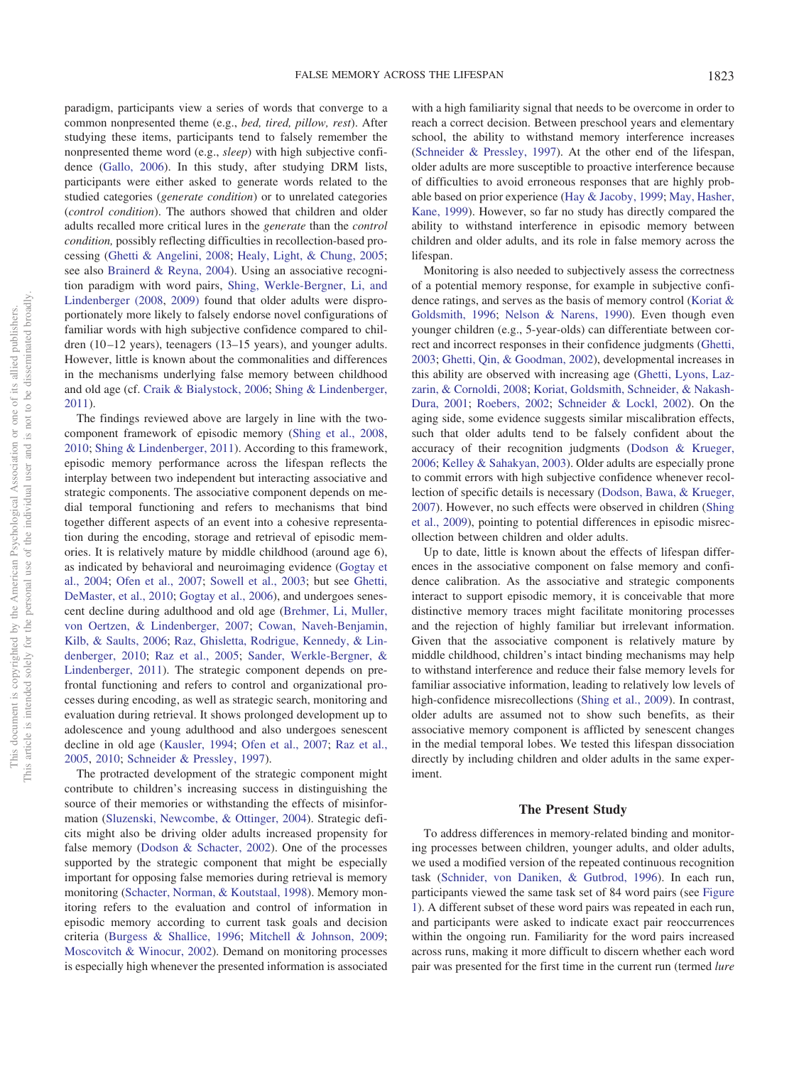paradigm, participants view a series of words that converge to a common nonpresented theme (e.g., *bed, tired, pillow, rest*). After studying these items, participants tend to falsely remember the nonpresented theme word (e.g., *sleep*) with high subjective confidence [\(Gallo, 2006\)](#page-8-5). In this study, after studying DRM lists, participants were either asked to generate words related to the studied categories (*generate condition*) or to unrelated categories (*control condition*). The authors showed that children and older adults recalled more critical lures in the *generate* than the *control condition,* possibly reflecting difficulties in recollection-based processing [\(Ghetti & Angelini, 2008;](#page-8-6) [Healy, Light, & Chung, 2005;](#page-9-12) see also [Brainerd & Reyna, 2004\)](#page-8-7). Using an associative recognition paradigm with word pairs, [Shing, Werkle-Bergner, Li, and](#page-10-7) [Lindenberger \(2008,](#page-10-7) [2009\)](#page-10-5) found that older adults were disproportionately more likely to falsely endorse novel configurations of familiar words with high subjective confidence compared to children (10–12 years), teenagers (13–15 years), and younger adults. However, little is known about the commonalities and differences in the mechanisms underlying false memory between childhood and old age (cf. [Craik & Bialystock, 2006;](#page-8-8) [Shing & Lindenberger,](#page-10-0) [2011\)](#page-10-0).

The findings reviewed above are largely in line with the twocomponent framework of episodic memory [\(Shing et al., 2008,](#page-10-7) [2010;](#page-10-8) [Shing & Lindenberger, 2011\)](#page-10-0). According to this framework, episodic memory performance across the lifespan reflects the interplay between two independent but interacting associative and strategic components. The associative component depends on medial temporal functioning and refers to mechanisms that bind together different aspects of an event into a cohesive representation during the encoding, storage and retrieval of episodic memories. It is relatively mature by middle childhood (around age 6), as indicated by behavioral and neuroimaging evidence [\(Gogtay et](#page-9-13) [al., 2004;](#page-9-13) [Ofen et al., 2007;](#page-9-14) [Sowell et al., 2003;](#page-10-9) but see [Ghetti,](#page-8-9) [DeMaster, et al., 2010;](#page-8-9) [Gogtay et al., 2006\)](#page-9-15), and undergoes senescent decline during adulthood and old age [\(Brehmer, Li, Muller,](#page-8-10) [von Oertzen, & Lindenberger, 2007;](#page-8-10) [Cowan, Naveh-Benjamin,](#page-8-11) [Kilb, & Saults, 2006;](#page-8-11) [Raz, Ghisletta, Rodrigue, Kennedy, & Lin](#page-9-16)[denberger, 2010;](#page-9-16) [Raz et al., 2005;](#page-10-10) [Sander, Werkle-Bergner, &](#page-10-11) [Lindenberger, 2011\)](#page-10-11). The strategic component depends on prefrontal functioning and refers to control and organizational processes during encoding, as well as strategic search, monitoring and evaluation during retrieval. It shows prolonged development up to adolescence and young adulthood and also undergoes senescent decline in old age [\(Kausler, 1994;](#page-9-17) [Ofen et al., 2007;](#page-9-14) [Raz et al.,](#page-10-10) [2005,](#page-10-10) [2010;](#page-9-16) [Schneider & Pressley, 1997\)](#page-10-12).

The protracted development of the strategic component might contribute to children's increasing success in distinguishing the source of their memories or withstanding the effects of misinformation [\(Sluzenski, Newcombe, & Ottinger, 2004\)](#page-10-13). Strategic deficits might also be driving older adults increased propensity for false memory [\(Dodson & Schacter, 2002\)](#page-8-12). One of the processes supported by the strategic component that might be especially important for opposing false memories during retrieval is memory monitoring [\(Schacter, Norman, & Koutstaal, 1998\)](#page-10-14). Memory monitoring refers to the evaluation and control of information in episodic memory according to current task goals and decision criteria [\(Burgess & Shallice, 1996;](#page-8-13) [Mitchell & Johnson, 2009;](#page-9-5) [Moscovitch & Winocur, 2002\)](#page-9-18). Demand on monitoring processes is especially high whenever the presented information is associated

with a high familiarity signal that needs to be overcome in order to reach a correct decision. Between preschool years and elementary school, the ability to withstand memory interference increases [\(Schneider & Pressley, 1997\)](#page-10-12). At the other end of the lifespan, older adults are more susceptible to proactive interference because of difficulties to avoid erroneous responses that are highly probable based on prior experience [\(Hay & Jacoby, 1999;](#page-9-19) [May, Hasher,](#page-9-20) [Kane, 1999\)](#page-9-20). However, so far no study has directly compared the ability to withstand interference in episodic memory between children and older adults, and its role in false memory across the lifespan.

Monitoring is also needed to subjectively assess the correctness of a potential memory response, for example in subjective confidence ratings, and serves as the basis of memory control [\(Koriat &](#page-9-21) [Goldsmith, 1996;](#page-9-21) [Nelson & Narens, 1990\)](#page-9-22). Even though even younger children (e.g., 5-year-olds) can differentiate between correct and incorrect responses in their confidence judgments [\(Ghetti,](#page-8-14) [2003;](#page-8-14) [Ghetti, Qin, & Goodman, 2002\)](#page-8-15), developmental increases in this ability are observed with increasing age [\(Ghetti, Lyons, Laz](#page-8-16)[zarin, & Cornoldi, 2008;](#page-8-16) [Koriat, Goldsmith, Schneider, & Nakash-](#page-9-23)[Dura, 2001;](#page-9-23) [Roebers, 2002;](#page-10-15) [Schneider & Lockl, 2002\)](#page-10-16). On the aging side, some evidence suggests similar miscalibration effects, such that older adults tend to be falsely confident about the accuracy of their recognition judgments [\(Dodson & Krueger,](#page-8-17) [2006;](#page-8-17) [Kelley & Sahakyan, 2003\)](#page-9-24). Older adults are especially prone to commit errors with high subjective confidence whenever recollection of specific details is necessary [\(Dodson, Bawa, & Krueger,](#page-8-18) [2007\)](#page-8-18). However, no such effects were observed in children [\(Shing](#page-10-5) [et al., 2009\)](#page-10-5), pointing to potential differences in episodic misrecollection between children and older adults.

Up to date, little is known about the effects of lifespan differences in the associative component on false memory and confidence calibration. As the associative and strategic components interact to support episodic memory, it is conceivable that more distinctive memory traces might facilitate monitoring processes and the rejection of highly familiar but irrelevant information. Given that the associative component is relatively mature by middle childhood, children's intact binding mechanisms may help to withstand interference and reduce their false memory levels for familiar associative information, leading to relatively low levels of high-confidence misrecollections [\(Shing et al., 2009\)](#page-10-5). In contrast, older adults are assumed not to show such benefits, as their associative memory component is afflicted by senescent changes in the medial temporal lobes. We tested this lifespan dissociation directly by including children and older adults in the same experiment.

## **The Present Study**

To address differences in memory-related binding and monitoring processes between children, younger adults, and older adults, we used a modified version of the repeated continuous recognition task [\(Schnider, von Daniken, & Gutbrod, 1996\)](#page-10-17). In each run, participants viewed the same task set of 84 word pairs (see [Figure](#page-2-0) [1\)](#page-2-0). A different subset of these word pairs was repeated in each run, and participants were asked to indicate exact pair reoccurrences within the ongoing run. Familiarity for the word pairs increased across runs, making it more difficult to discern whether each word pair was presented for the first time in the current run (termed *lure*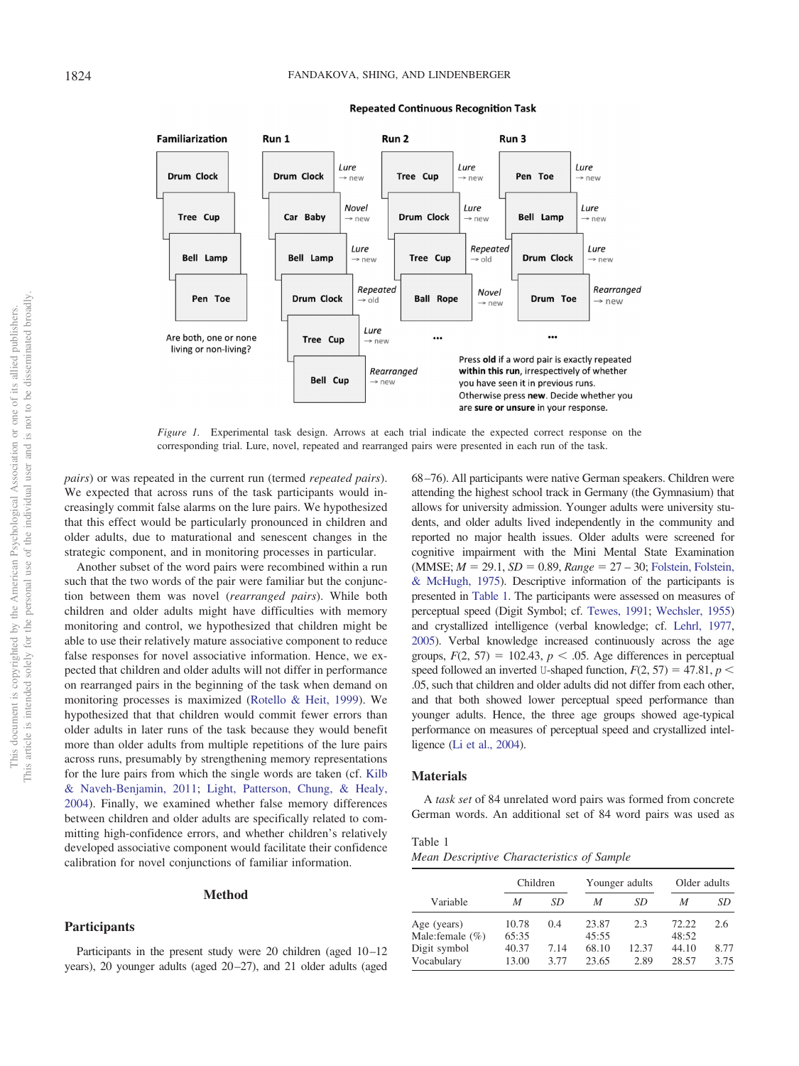

#### **Repeated Continuous Recognition Task**

<span id="page-2-0"></span>*Figure 1.* Experimental task design. Arrows at each trial indicate the expected correct response on the corresponding trial. Lure, novel, repeated and rearranged pairs were presented in each run of the task.

*pairs*) or was repeated in the current run (termed *repeated pairs*). We expected that across runs of the task participants would increasingly commit false alarms on the lure pairs. We hypothesized that this effect would be particularly pronounced in children and older adults, due to maturational and senescent changes in the strategic component, and in monitoring processes in particular.

Another subset of the word pairs were recombined within a run such that the two words of the pair were familiar but the conjunction between them was novel (*rearranged pairs*). While both children and older adults might have difficulties with memory monitoring and control, we hypothesized that children might be able to use their relatively mature associative component to reduce false responses for novel associative information. Hence, we expected that children and older adults will not differ in performance on rearranged pairs in the beginning of the task when demand on monitoring processes is maximized [\(Rotello & Heit, 1999\)](#page-10-18). We hypothesized that that children would commit fewer errors than older adults in later runs of the task because they would benefit more than older adults from multiple repetitions of the lure pairs across runs, presumably by strengthening memory representations for the lure pairs from which the single words are taken (cf. [Kilb](#page-9-25) [& Naveh-Benjamin, 2011;](#page-9-25) [Light, Patterson, Chung, & Healy,](#page-9-26) [2004\)](#page-9-26). Finally, we examined whether false memory differences between children and older adults are specifically related to committing high-confidence errors, and whether children's relatively developed associative component would facilitate their confidence calibration for novel conjunctions of familiar information.

## **Method**

## **Participants**

Participants in the present study were 20 children (aged 10–12 years), 20 younger adults (aged 20 –27), and 21 older adults (aged 68 –76). All participants were native German speakers. Children were attending the highest school track in Germany (the Gymnasium) that allows for university admission. Younger adults were university students, and older adults lived independently in the community and reported no major health issues. Older adults were screened for cognitive impairment with the Mini Mental State Examination (MMSE;  $M = 29.1$ ,  $SD = 0.89$ ,  $Range = 27 - 30$ ; [Folstein, Folstein,](#page-8-19) [& McHugh, 1975\)](#page-8-19). Descriptive information of the participants is presented in [Table 1.](#page-2-1) The participants were assessed on measures of perceptual speed (Digit Symbol; cf. [Tewes, 1991;](#page-10-19) [Wechsler, 1955\)](#page-10-20) and crystallized intelligence (verbal knowledge; cf. [Lehrl, 1977,](#page-9-27) [2005\)](#page-9-28). Verbal knowledge increased continuously across the age groups,  $F(2, 57) = 102.43$ ,  $p < .05$ . Age differences in perceptual speed followed an inverted U-shaped function,  $F(2, 57) = 47.81$ ,  $p <$ .05, such that children and older adults did not differ from each other, and that both showed lower perceptual speed performance than younger adults. Hence, the three age groups showed age-typical performance on measures of perceptual speed and crystallized intelligence [\(Li et al., 2004\)](#page-9-29).

# **Materials**

A *task set* of 84 unrelated word pairs was formed from concrete German words. An additional set of 84 word pairs was used as

<span id="page-2-1"></span>Table 1 *Mean Descriptive Characteristics of Sample*

|                                     | Children       |              | Younger adults |               | Older adults   |              |
|-------------------------------------|----------------|--------------|----------------|---------------|----------------|--------------|
| Variable                            | M              | SD           | M              | SD            | М              | SD           |
| Age (years)<br>Male: female $(\% )$ | 10.78<br>65:35 | 0.4          | 23.87<br>45:55 | 2.3           | 72.22<br>48:52 | 2.6          |
| Digit symbol<br>Vocabulary          | 40.37<br>13.00 | 7.14<br>3.77 | 68.10<br>23.65 | 12.37<br>2.89 | 44.10<br>28.57 | 8.77<br>3.75 |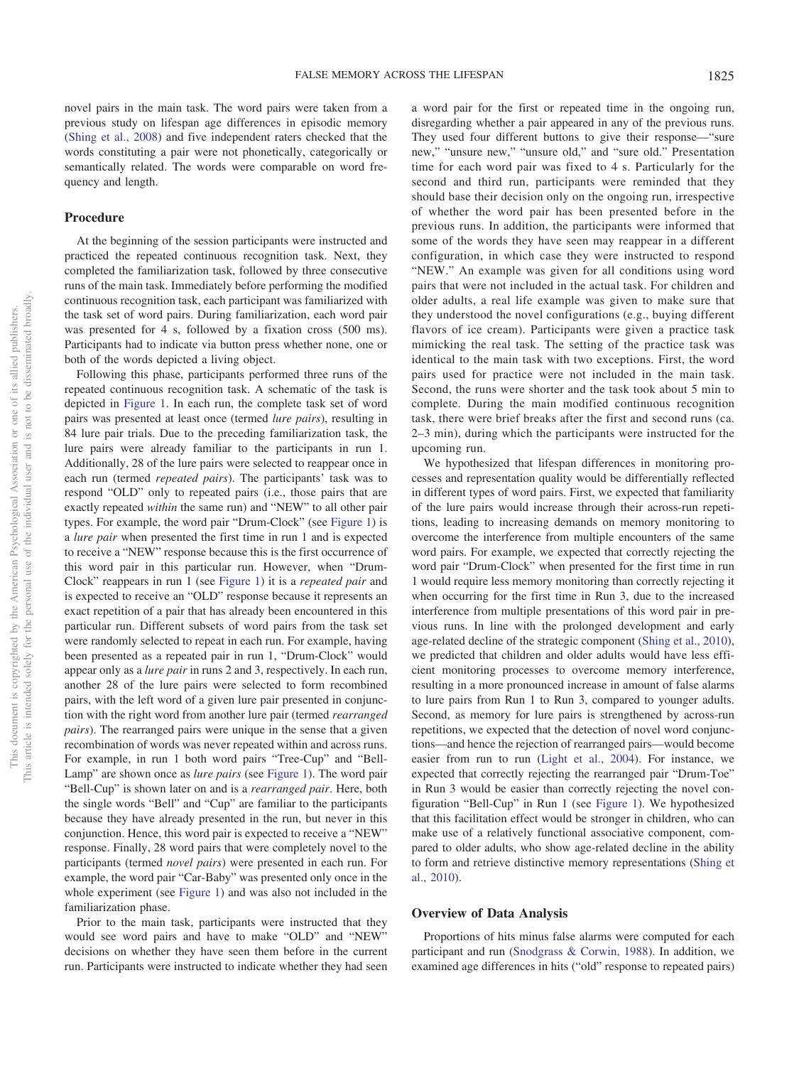novel pairs in the main task. The word pairs were taken from a previous study on lifespan age differences in episodic memory [\(Shing et al., 2008\)](#page-10-7) and five independent raters checked that the words constituting a pair were not phonetically, categorically or semantically related. The words were comparable on word frequency and length.

## **Procedure**

At the beginning of the session participants were instructed and practiced the repeated continuous recognition task. Next, they completed the familiarization task, followed by three consecutive runs of the main task. Immediately before performing the modified continuous recognition task, each participant was familiarized with the task set of word pairs. During familiarization, each word pair was presented for 4 s, followed by a fixation cross (500 ms). Participants had to indicate via button press whether none, one or both of the words depicted a living object.

Following this phase, participants performed three runs of the repeated continuous recognition task. A schematic of the task is depicted in [Figure 1.](#page-2-0) In each run, the complete task set of word pairs was presented at least once (termed *lure pairs*), resulting in 84 lure pair trials. Due to the preceding familiarization task, the lure pairs were already familiar to the participants in run 1. Additionally, 28 of the lure pairs were selected to reappear once in each run (termed *repeated pairs*). The participants' task was to respond "OLD" only to repeated pairs (i.e., those pairs that are exactly repeated *within* the same run) and "NEW" to all other pair types. For example, the word pair "Drum-Clock" (see [Figure 1\)](#page-2-0) is a *lure pair* when presented the first time in run 1 and is expected to receive a "NEW" response because this is the first occurrence of this word pair in this particular run. However, when "Drum-Clock" reappears in run 1 (see [Figure 1\)](#page-2-0) it is a *repeated pair* and is expected to receive an "OLD" response because it represents an exact repetition of a pair that has already been encountered in this particular run. Different subsets of word pairs from the task set were randomly selected to repeat in each run. For example, having been presented as a repeated pair in run 1, "Drum-Clock" would appear only as a *lure pair* in runs 2 and 3, respectively. In each run, another 28 of the lure pairs were selected to form recombined pairs, with the left word of a given lure pair presented in conjunction with the right word from another lure pair (termed *rearranged pairs*). The rearranged pairs were unique in the sense that a given recombination of words was never repeated within and across runs. For example, in run 1 both word pairs "Tree-Cup" and "Bell-Lamp" are shown once as *lure pairs* (see [Figure 1\)](#page-2-0). The word pair "Bell-Cup" is shown later on and is a *rearranged pair*. Here, both the single words "Bell" and "Cup" are familiar to the participants because they have already presented in the run, but never in this conjunction. Hence, this word pair is expected to receive a "NEW" response. Finally, 28 word pairs that were completely novel to the participants (termed *novel pairs*) were presented in each run. For example, the word pair "Car-Baby" was presented only once in the whole experiment (see [Figure 1\)](#page-2-0) and was also not included in the familiarization phase.

Prior to the main task, participants were instructed that they would see word pairs and have to make "OLD" and "NEW" decisions on whether they have seen them before in the current run. Participants were instructed to indicate whether they had seen a word pair for the first or repeated time in the ongoing run, disregarding whether a pair appeared in any of the previous runs. They used four different buttons to give their response—"sure new," "unsure new," "unsure old," and "sure old." Presentation time for each word pair was fixed to 4 s. Particularly for the second and third run, participants were reminded that they should base their decision only on the ongoing run, irrespective of whether the word pair has been presented before in the previous runs. In addition, the participants were informed that some of the words they have seen may reappear in a different configuration, in which case they were instructed to respond "NEW." An example was given for all conditions using word pairs that were not included in the actual task. For children and older adults, a real life example was given to make sure that they understood the novel configurations (e.g., buying different flavors of ice cream). Participants were given a practice task mimicking the real task. The setting of the practice task was identical to the main task with two exceptions. First, the word pairs used for practice were not included in the main task. Second, the runs were shorter and the task took about 5 min to complete. During the main modified continuous recognition task, there were brief breaks after the first and second runs (ca. 2–3 min), during which the participants were instructed for the upcoming run.

We hypothesized that lifespan differences in monitoring processes and representation quality would be differentially reflected in different types of word pairs. First, we expected that familiarity of the lure pairs would increase through their across-run repetitions, leading to increasing demands on memory monitoring to overcome the interference from multiple encounters of the same word pairs. For example, we expected that correctly rejecting the word pair "Drum-Clock" when presented for the first time in run 1 would require less memory monitoring than correctly rejecting it when occurring for the first time in Run 3, due to the increased interference from multiple presentations of this word pair in previous runs. In line with the prolonged development and early age-related decline of the strategic component [\(Shing et al., 2010\)](#page-10-8), we predicted that children and older adults would have less efficient monitoring processes to overcome memory interference, resulting in a more pronounced increase in amount of false alarms to lure pairs from Run 1 to Run 3, compared to younger adults. Second, as memory for lure pairs is strengthened by across-run repetitions, we expected that the detection of novel word conjunctions—and hence the rejection of rearranged pairs—would become easier from run to run [\(Light et al., 2004\)](#page-9-26). For instance, we expected that correctly rejecting the rearranged pair "Drum-Toe" in Run 3 would be easier than correctly rejecting the novel configuration "Bell-Cup" in Run 1 (see [Figure 1\)](#page-2-0). We hypothesized that this facilitation effect would be stronger in children, who can make use of a relatively functional associative component, compared to older adults, who show age-related decline in the ability to form and retrieve distinctive memory representations [\(Shing et](#page-10-8) [al., 2010\)](#page-10-8).

## **Overview of Data Analysis**

Proportions of hits minus false alarms were computed for each participant and run [\(Snodgrass & Corwin, 1988\)](#page-10-21). In addition, we examined age differences in hits ("old" response to repeated pairs)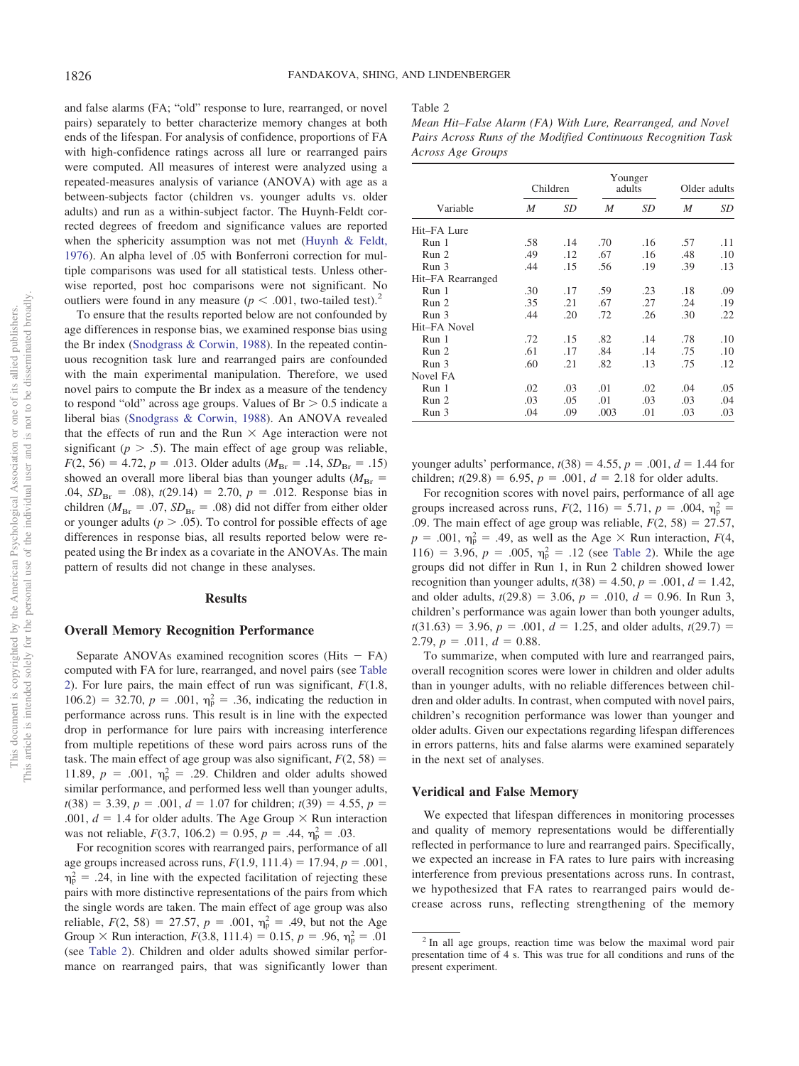and false alarms (FA; "old" response to lure, rearranged, or novel pairs) separately to better characterize memory changes at both ends of the lifespan. For analysis of confidence, proportions of FA with high-confidence ratings across all lure or rearranged pairs were computed. All measures of interest were analyzed using a repeated-measures analysis of variance (ANOVA) with age as a between-subjects factor (children vs. younger adults vs. older adults) and run as a within-subject factor. The Huynh-Feldt corrected degrees of freedom and significance values are reported when the sphericity assumption was not met [\(Huynh & Feldt,](#page-9-30) [1976\)](#page-9-30). An alpha level of .05 with Bonferroni correction for multiple comparisons was used for all statistical tests. Unless otherwise reported, post hoc comparisons were not significant. No outliers were found in any measure ( $p < .001$ , two-tailed test).<sup>2</sup>

To ensure that the results reported below are not confounded by age differences in response bias, we examined response bias using the Br index [\(Snodgrass & Corwin, 1988\)](#page-10-21). In the repeated continuous recognition task lure and rearranged pairs are confounded with the main experimental manipulation. Therefore, we used novel pairs to compute the Br index as a measure of the tendency to respond "old" across age groups. Values of  $Br > 0.5$  indicate a liberal bias [\(Snodgrass & Corwin, 1988\)](#page-10-21). An ANOVA revealed that the effects of run and the Run  $\times$  Age interaction were not significant ( $p > .5$ ). The main effect of age group was reliable,  $F(2, 56) = 4.72, p = .013$ . Older adults ( $M_{\text{Br}} = .14, SD_{\text{Br}} = .15$ ) showed an overall more liberal bias than younger adults ( $M<sub>Br</sub>$ ) .04,  $SD_{\text{Br}} = .08$ ,  $t(29.14) = 2.70$ ,  $p = .012$ . Response bias in children ( $M_{\text{Br}}$  = .07,  $SD_{\text{Br}}$  = .08) did not differ from either older or younger adults ( $p > .05$ ). To control for possible effects of age differences in response bias, all results reported below were repeated using the Br index as a covariate in the ANOVAs. The main pattern of results did not change in these analyses.

#### **Results**

#### **Overall Memory Recognition Performance**

Separate ANOVAs examined recognition scores (Hits  $-$  FA) computed with FA for lure, rearranged, and novel pairs (see [Table](#page-4-0) [2\)](#page-4-0). For lure pairs, the main effect of run was significant, *F*(1.8,  $106.2$ ) = 32.70,  $p = .001$ ,  $\eta_p^2 = .36$ , indicating the reduction in performance across runs. This result is in line with the expected drop in performance for lure pairs with increasing interference from multiple repetitions of these word pairs across runs of the task. The main effect of age group was also significant,  $F(2, 58) =$ 11.89,  $p = .001$ ,  $\eta_p^2 = .29$ . Children and older adults showed similar performance, and performed less well than younger adults,  $t(38) = 3.39, p = .001, d = 1.07$  for children;  $t(39) = 4.55, p =$ .001,  $d = 1.4$  for older adults. The Age Group  $\times$  Run interaction was not reliable,  $F(3.7, 106.2) = 0.95$ ,  $p = .44$ ,  $\eta_p^2 = .03$ .

For recognition scores with rearranged pairs, performance of all age groups increased across runs,  $F(1.9, 111.4) = 17.94$ ,  $p = .001$ ,  $\eta_{\rm p}^2$  = .24, in line with the expected facilitation of rejecting these pairs with more distinctive representations of the pairs from which the single words are taken. The main effect of age group was also reliable,  $F(2, 58) = 27.57$ ,  $p = .001$ ,  $\eta_p^2 = .49$ , but not the Age Group  $\times$  Run interaction,  $F(3.8, 111.4) = 0.15$ ,  $p = .96$ ,  $\eta_p^2 = .01$ (see [Table 2\)](#page-4-0). Children and older adults showed similar performance on rearranged pairs, that was significantly lower than

#### <span id="page-4-0"></span>Table 2

*Mean Hit–False Alarm (FA) With Lure, Rearranged, and Novel Pairs Across Runs of the Modified Continuous Recognition Task Across Age Groups*

|                   | Children |     | Younger<br>adults |           | Older adults |     |
|-------------------|----------|-----|-------------------|-----------|--------------|-----|
| Variable          | M        | SD  | M                 | <b>SD</b> | M            | SD  |
| Hit-FA Lure       |          |     |                   |           |              |     |
| Run 1             | .58      | .14 | .70               | .16       | .57          | .11 |
| Run 2             | .49      | .12 | .67               | .16       | .48          | .10 |
| Run 3             | .44      | .15 | .56               | .19       | .39          | .13 |
| Hit–FA Rearranged |          |     |                   |           |              |     |
| Run 1             | .30      | .17 | .59               | .23       | .18          | .09 |
| Run 2             | .35      | .21 | .67               | .27       | .24          | .19 |
| Run 3             | .44      | .20 | .72               | .26       | .30          | .22 |
| Hit-FA Novel      |          |     |                   |           |              |     |
| Run 1             | .72      | .15 | .82               | .14       | .78          | .10 |
| Run 2             | .61      | .17 | .84               | .14       | .75          | .10 |
| Run 3             | .60      | .21 | .82               | .13       | .75          | .12 |
| Novel FA          |          |     |                   |           |              |     |
| Run 1             | .02      | .03 | .01               | .02       | .04          | .05 |
| Run 2             | .03      | .05 | .01               | .03       | .03          | .04 |
| Run 3             | .04      | .09 | .003              | .01       | .03          | .03 |

younger adults' performance,  $t(38) = 4.55$ ,  $p = .001$ ,  $d = 1.44$  for children;  $t(29.8) = 6.95$ ,  $p = .001$ ,  $d = 2.18$  for older adults.

For recognition scores with novel pairs, performance of all age groups increased across runs,  $F(2, 116) = 5.71$ ,  $p = .004$ ,  $\eta_p^2 =$ .09. The main effect of age group was reliable,  $F(2, 58) = 27.57$ ,  $p = .001$ ,  $\eta_p^2 = .49$ , as well as the Age  $\times$  Run interaction, *F*(4, 116) = 3.96,  $p = .005$ ,  $\eta_p^2 = .12$  (see [Table 2\)](#page-4-0). While the age groups did not differ in Run 1, in Run 2 children showed lower recognition than younger adults,  $t(38) = 4.50$ ,  $p = .001$ ,  $d = 1.42$ , and older adults,  $t(29.8) = 3.06$ ,  $p = .010$ ,  $d = 0.96$ . In Run 3, children's performance was again lower than both younger adults,  $t(31.63) = 3.96, p = .001, d = 1.25,$  and older adults,  $t(29.7) =$ 2.79,  $p = .011, d = 0.88$ .

To summarize, when computed with lure and rearranged pairs, overall recognition scores were lower in children and older adults than in younger adults, with no reliable differences between children and older adults. In contrast, when computed with novel pairs, children's recognition performance was lower than younger and older adults. Given our expectations regarding lifespan differences in errors patterns, hits and false alarms were examined separately in the next set of analyses.

## **Veridical and False Memory**

We expected that lifespan differences in monitoring processes and quality of memory representations would be differentially reflected in performance to lure and rearranged pairs. Specifically, we expected an increase in FA rates to lure pairs with increasing interference from previous presentations across runs. In contrast, we hypothesized that FA rates to rearranged pairs would decrease across runs, reflecting strengthening of the memory

<sup>&</sup>lt;sup>2</sup> In all age groups, reaction time was below the maximal word pair presentation time of 4 s. This was true for all conditions and runs of the present experiment.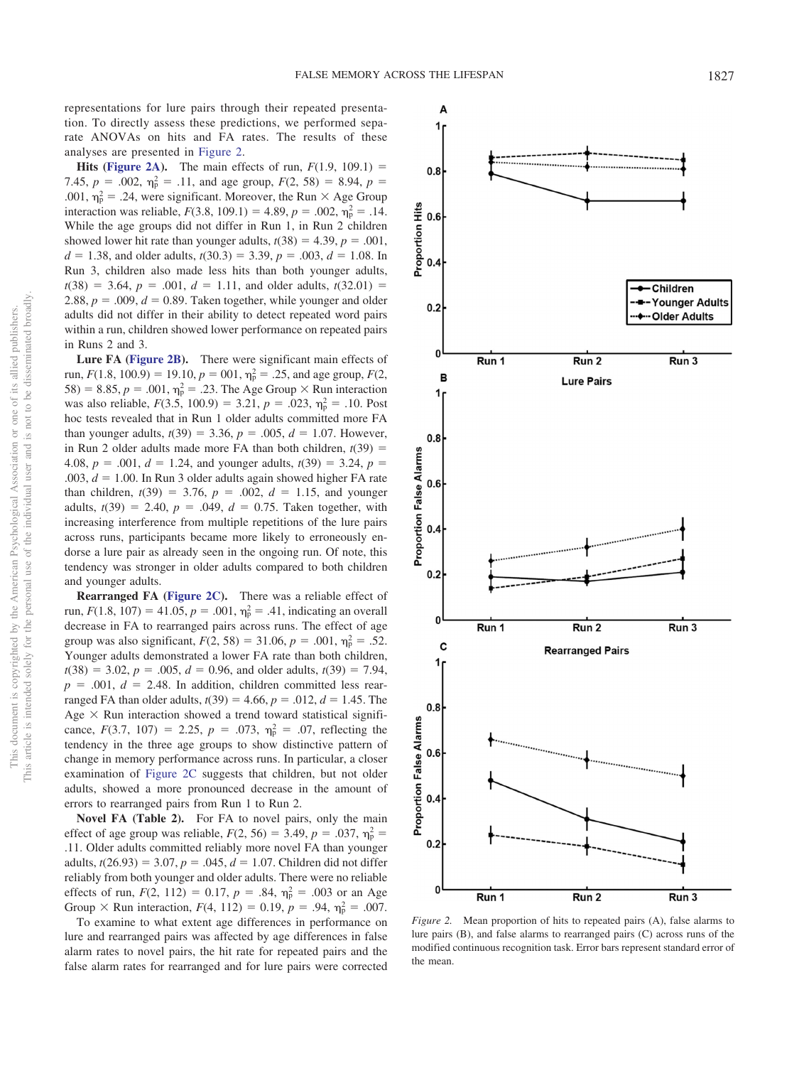representations for lure pairs through their repeated presentation. To directly assess these predictions, we performed separate ANOVAs on hits and FA rates. The results of these analyses are presented in [Figure 2.](#page-5-0)

**Hits [\(Figure 2A\)](#page-5-0).** The main effects of run,  $F(1.9, 109.1) =$ 7.45,  $p = .002$ ,  $\eta_p^2 = .11$ , and age group,  $F(2, 58) = 8.94$ ,  $p =$ .001,  $\eta_p^2$  = .24, were significant. Moreover, the Run  $\times$  Age Group interaction was reliable,  $F(3.8, 109.1) = 4.89$ ,  $p = .002$ ,  $\eta_p^2 = .14$ . While the age groups did not differ in Run 1, in Run 2 children showed lower hit rate than younger adults,  $t(38) = 4.39$ ,  $p = .001$ ,  $d = 1.38$ , and older adults,  $t(30.3) = 3.39$ ,  $p = .003$ ,  $d = 1.08$ . In Run 3, children also made less hits than both younger adults,  $t(38) = 3.64$ ,  $p = .001$ ,  $d = 1.11$ , and older adults,  $t(32.01) =$ 2.88,  $p = .009$ ,  $d = 0.89$ . Taken together, while younger and older adults did not differ in their ability to detect repeated word pairs within a run, children showed lower performance on repeated pairs in Runs 2 and 3.

**Lure FA [\(Figure 2B\)](#page-5-0).** There were significant main effects of run,  $F(1.8, 100.9) = 19.10, p = 001, \eta_p^2 = .25$ , and age group,  $F(2, \eta_p^2)$ 58) = 8.85,  $p = .001$ ,  $\eta_p^2 = .23$ . The Age Group  $\times$  Run interaction was also reliable,  $F(3.5, 100.9) = 3.21$ ,  $p = .023$ ,  $\eta_p^2 = .10$ . Post hoc tests revealed that in Run 1 older adults committed more FA than younger adults,  $t(39) = 3.36$ ,  $p = .005$ ,  $d = 1.07$ . However, in Run 2 older adults made more FA than both children,  $t(39)$  = 4.08,  $p = .001$ ,  $d = 1.24$ , and younger adults,  $t(39) = 3.24$ ,  $p =$ .003,  $d = 1.00$ . In Run 3 older adults again showed higher FA rate than children,  $t(39) = 3.76$ ,  $p = .002$ ,  $d = 1.15$ , and younger adults,  $t(39) = 2.40$ ,  $p = .049$ ,  $d = 0.75$ . Taken together, with increasing interference from multiple repetitions of the lure pairs across runs, participants became more likely to erroneously endorse a lure pair as already seen in the ongoing run. Of note, this tendency was stronger in older adults compared to both children and younger adults.

**Rearranged FA [\(Figure 2C\)](#page-5-0).** There was a reliable effect of run,  $F(1.8, 107) = 41.05$ ,  $p = .001$ ,  $\eta_p^2 = .41$ , indicating an overall decrease in FA to rearranged pairs across runs. The effect of age group was also significant,  $F(2, 58) = 31.06$ ,  $p = .001$ ,  $\eta_p^2 = .52$ . Younger adults demonstrated a lower FA rate than both children,  $t(38) = 3.02$ ,  $p = .005$ ,  $d = 0.96$ , and older adults,  $t(39) = 7.94$ ,  $p = .001$ ,  $d = 2.48$ . In addition, children committed less rearranged FA than older adults,  $t(39) = 4.66$ ,  $p = .012$ ,  $d = 1.45$ . The Age  $\times$  Run interaction showed a trend toward statistical significance,  $F(3.7, 107) = 2.25$ ,  $p = .073$ ,  $\eta_p^2 = .07$ , reflecting the tendency in the three age groups to show distinctive pattern of change in memory performance across runs. In particular, a closer examination of [Figure 2C](#page-5-0) suggests that children, but not older adults, showed a more pronounced decrease in the amount of errors to rearranged pairs from Run 1 to Run 2.

**Novel FA (Table 2).** For FA to novel pairs, only the main effect of age group was reliable,  $F(2, 56) = 3.49, p = .037, \eta_{p}^{2} =$ .11. Older adults committed reliably more novel FA than younger adults,  $t(26.93) = 3.07$ ,  $p = .045$ ,  $d = 1.07$ . Children did not differ reliably from both younger and older adults. There were no reliable effects of run,  $F(2, 112) = 0.17$ ,  $p = .84$ ,  $\eta_p^2 = .003$  or an Age Group  $\times$  Run interaction,  $F(4, 112) = 0.19$ ,  $p = .94$ ,  $\eta_p^2 = .007$ .

To examine to what extent age differences in performance on lure and rearranged pairs was affected by age differences in false alarm rates to novel pairs, the hit rate for repeated pairs and the false alarm rates for rearranged and for lure pairs were corrected

<span id="page-5-0"></span>*Figure 2.* Mean proportion of hits to repeated pairs (A), false alarms to lure pairs (B), and false alarms to rearranged pairs (C) across runs of the modified continuous recognition task. Error bars represent standard error of the mean.

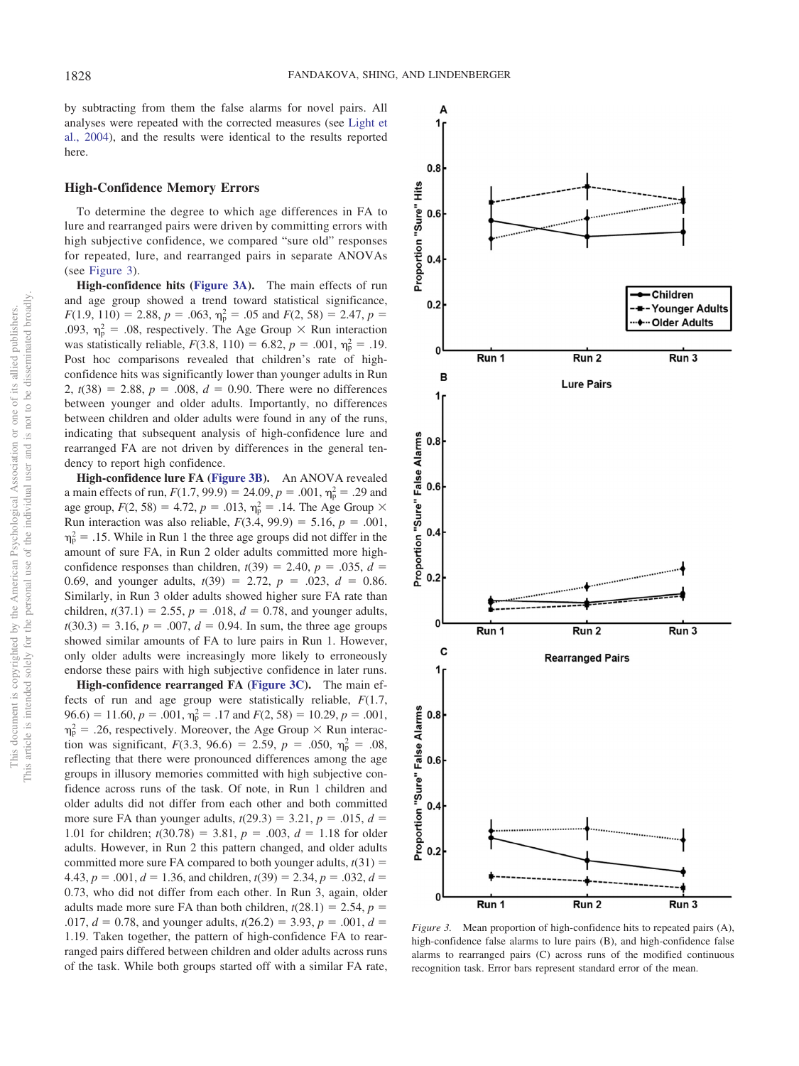by subtracting from them the false alarms for novel pairs. All analyses were repeated with the corrected measures (see [Light et](#page-9-26) [al., 2004\)](#page-9-26), and the results were identical to the results reported here.

## **High-Confidence Memory Errors**

To determine the degree to which age differences in FA to lure and rearranged pairs were driven by committing errors with high subjective confidence, we compared "sure old" responses for repeated, lure, and rearranged pairs in separate ANOVAs (see [Figure 3\)](#page-6-0).

**High-confidence hits [\(Figure 3A\)](#page-6-0).** The main effects of run and age group showed a trend toward statistical significance,  $F(1.9, 110) = 2.88, p = .063, \eta_p^2 = .05$  and  $F(2, 58) = 2.47, p =$ .093,  $\eta_p^2 = .08$ , respectively. The Age Group  $\times$  Run interaction was statistically reliable,  $F(3.8, 110) = 6.82$ ,  $p = .001$ ,  $\eta_p^2 = .19$ . Post hoc comparisons revealed that children's rate of highconfidence hits was significantly lower than younger adults in Run 2,  $t(38) = 2.88$ ,  $p = .008$ ,  $d = 0.90$ . There were no differences between younger and older adults. Importantly, no differences between children and older adults were found in any of the runs, indicating that subsequent analysis of high-confidence lure and rearranged FA are not driven by differences in the general tendency to report high confidence.

**High-confidence lure FA [\(Figure 3B\)](#page-6-0).** An ANOVA revealed a main effects of run,  $F(1.7, 99.9) = 24.09$ ,  $p = .001$ ,  $\eta_p^2 = .29$  and age group,  $F(2, 58) = 4.72$ ,  $p = .013$ ,  $\eta_p^2 = .14$ . The Age Group  $\times$ Run interaction was also reliable,  $F(3.4, 99.9) = 5.16$ ,  $p = .001$ ,  $\eta_{\rm p}^2$  = .15. While in Run 1 the three age groups did not differ in the amount of sure FA, in Run 2 older adults committed more highconfidence responses than children,  $t(39) = 2.40$ ,  $p = .035$ ,  $d =$ 0.69, and younger adults,  $t(39) = 2.72$ ,  $p = .023$ ,  $d = 0.86$ . Similarly, in Run 3 older adults showed higher sure FA rate than children,  $t(37.1) = 2.55$ ,  $p = .018$ ,  $d = 0.78$ , and younger adults,  $t(30.3) = 3.16, p = .007, d = 0.94$ . In sum, the three age groups showed similar amounts of FA to lure pairs in Run 1. However, only older adults were increasingly more likely to erroneously endorse these pairs with high subjective confidence in later runs.

**High-confidence rearranged FA [\(Figure 3C\)](#page-6-0).** The main effects of run and age group were statistically reliable, *F*(1.7,  $96.6$  = 11.60,  $p = .001$ ,  $\eta_p^2 = .17$  and  $F(2, 58) = 10.29$ ,  $p = .001$ ,  $\eta_{\rm p}^2$  = .26, respectively. Moreover, the Age Group  $\times$  Run interaction was significant,  $F(3.3, 96.6) = 2.59$ ,  $p = .050$ ,  $\eta_p^2 = .08$ , reflecting that there were pronounced differences among the age groups in illusory memories committed with high subjective confidence across runs of the task. Of note, in Run 1 children and older adults did not differ from each other and both committed more sure FA than younger adults,  $t(29.3) = 3.21$ ,  $p = .015$ ,  $d =$ 1.01 for children;  $t(30.78) = 3.81$ ,  $p = .003$ ,  $d = 1.18$  for older adults. However, in Run 2 this pattern changed, and older adults committed more sure FA compared to both younger adults,  $t(31)$  = 4.43,  $p = .001$ ,  $d = 1.36$ , and children,  $t(39) = 2.34$ ,  $p = .032$ ,  $d =$ 0.73, who did not differ from each other. In Run 3, again, older adults made more sure FA than both children,  $t(28.1) = 2.54$ ,  $p =$ .017,  $d = 0.78$ , and younger adults,  $t(26.2) = 3.93$ ,  $p = .001$ ,  $d =$ 1.19. Taken together, the pattern of high-confidence FA to rearranged pairs differed between children and older adults across runs of the task. While both groups started off with a similar FA rate,

<span id="page-6-0"></span>0 Run 1 Run 2 Run 3 C **Rearranged Pairs** 1 0 Run 2 Run 1 Run 3 *Figure 3.* Mean proportion of high-confidence hits to repeated pairs (A), high-confidence false alarms to lure pairs (B), and high-confidence false alarms to rearranged pairs (C) across runs of the modified continuous recognition task. Error bars represent standard error of the mean.

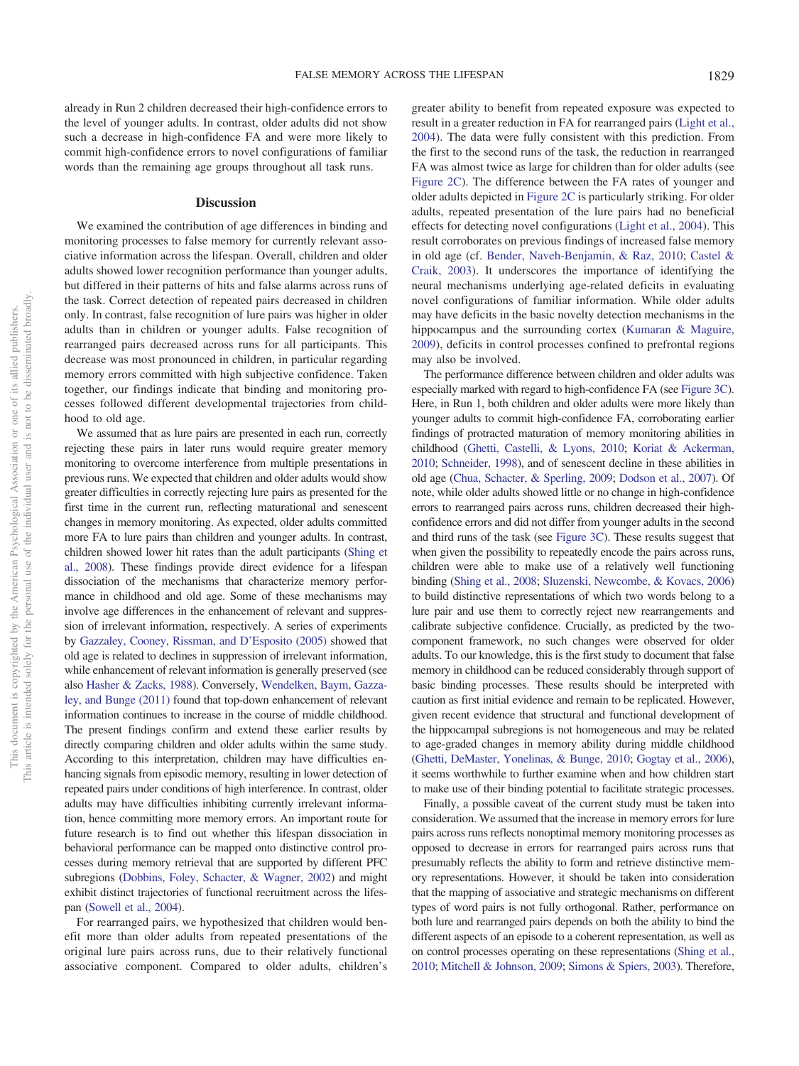already in Run 2 children decreased their high-confidence errors to the level of younger adults. In contrast, older adults did not show such a decrease in high-confidence FA and were more likely to commit high-confidence errors to novel configurations of familiar words than the remaining age groups throughout all task runs.

#### **Discussion**

We examined the contribution of age differences in binding and monitoring processes to false memory for currently relevant associative information across the lifespan. Overall, children and older adults showed lower recognition performance than younger adults, but differed in their patterns of hits and false alarms across runs of the task. Correct detection of repeated pairs decreased in children only. In contrast, false recognition of lure pairs was higher in older adults than in children or younger adults. False recognition of rearranged pairs decreased across runs for all participants. This decrease was most pronounced in children, in particular regarding memory errors committed with high subjective confidence. Taken together, our findings indicate that binding and monitoring processes followed different developmental trajectories from childhood to old age.

We assumed that as lure pairs are presented in each run, correctly rejecting these pairs in later runs would require greater memory monitoring to overcome interference from multiple presentations in previous runs. We expected that children and older adults would show greater difficulties in correctly rejecting lure pairs as presented for the first time in the current run, reflecting maturational and senescent changes in memory monitoring. As expected, older adults committed more FA to lure pairs than children and younger adults. In contrast, children showed lower hit rates than the adult participants [\(Shing et](#page-10-7) [al., 2008\)](#page-10-7). These findings provide direct evidence for a lifespan dissociation of the mechanisms that characterize memory performance in childhood and old age. Some of these mechanisms may involve age differences in the enhancement of relevant and suppression of irrelevant information, respectively. A series of experiments by [Gazzaley, Cooney, Rissman, and D'Esposito \(2005\)](#page-8-20) showed that old age is related to declines in suppression of irrelevant information, while enhancement of relevant information is generally preserved (see also [Hasher & Zacks, 1988\)](#page-9-31). Conversely, [Wendelken, Baym, Gazza](#page-10-22)[ley, and Bunge \(2011\)](#page-10-22) found that top-down enhancement of relevant information continues to increase in the course of middle childhood. The present findings confirm and extend these earlier results by directly comparing children and older adults within the same study. According to this interpretation, children may have difficulties enhancing signals from episodic memory, resulting in lower detection of repeated pairs under conditions of high interference. In contrast, older adults may have difficulties inhibiting currently irrelevant information, hence committing more memory errors. An important route for future research is to find out whether this lifespan dissociation in behavioral performance can be mapped onto distinctive control processes during memory retrieval that are supported by different PFC subregions [\(Dobbins, Foley, Schacter, & Wagner, 2002\)](#page-8-21) and might exhibit distinct trajectories of functional recruitment across the lifespan [\(Sowell et al., 2004\)](#page-10-23).

For rearranged pairs, we hypothesized that children would benefit more than older adults from repeated presentations of the original lure pairs across runs, due to their relatively functional associative component. Compared to older adults, children's

greater ability to benefit from repeated exposure was expected to result in a greater reduction in FA for rearranged pairs [\(Light et al.,](#page-9-26) [2004\)](#page-9-26). The data were fully consistent with this prediction. From the first to the second runs of the task, the reduction in rearranged FA was almost twice as large for children than for older adults (see [Figure 2C\)](#page-5-0). The difference between the FA rates of younger and older adults depicted in [Figure 2C](#page-5-0) is particularly striking. For older adults, repeated presentation of the lure pairs had no beneficial effects for detecting novel configurations [\(Light et al., 2004\)](#page-9-26). This result corroborates on previous findings of increased false memory in old age (cf. [Bender, Naveh-Benjamin, & Raz, 2010;](#page-8-22) [Castel &](#page-8-23) [Craik, 2003\)](#page-8-23). It underscores the importance of identifying the neural mechanisms underlying age-related deficits in evaluating novel configurations of familiar information. While older adults may have deficits in the basic novelty detection mechanisms in the hippocampus and the surrounding cortex [\(Kumaran & Maguire,](#page-9-32) [2009\)](#page-9-32), deficits in control processes confined to prefrontal regions may also be involved.

The performance difference between children and older adults was especially marked with regard to high-confidence FA (see [Figure 3C\)](#page-6-0). Here, in Run 1, both children and older adults were more likely than younger adults to commit high-confidence FA, corroborating earlier findings of protracted maturation of memory monitoring abilities in childhood [\(Ghetti, Castelli, & Lyons, 2010;](#page-8-9) [Koriat & Ackerman,](#page-9-33) [2010;](#page-9-33) [Schneider, 1998\)](#page-10-24), and of senescent decline in these abilities in old age [\(Chua, Schacter, & Sperling, 2009;](#page-8-24) [Dodson et al., 2007\)](#page-8-18). Of note, while older adults showed little or no change in high-confidence errors to rearranged pairs across runs, children decreased their highconfidence errors and did not differ from younger adults in the second and third runs of the task (see [Figure 3C\)](#page-6-0). These results suggest that when given the possibility to repeatedly encode the pairs across runs, children were able to make use of a relatively well functioning binding [\(Shing et al., 2008;](#page-10-7) [Sluzenski, Newcombe, & Kovacs, 2006\)](#page-10-25) to build distinctive representations of which two words belong to a lure pair and use them to correctly reject new rearrangements and calibrate subjective confidence. Crucially, as predicted by the twocomponent framework, no such changes were observed for older adults. To our knowledge, this is the first study to document that false memory in childhood can be reduced considerably through support of basic binding processes. These results should be interpreted with caution as first initial evidence and remain to be replicated. However, given recent evidence that structural and functional development of the hippocampal subregions is not homogeneous and may be related to age-graded changes in memory ability during middle childhood [\(Ghetti, DeMaster, Yonelinas, & Bunge, 2010;](#page-8-25) [Gogtay et al., 2006\)](#page-9-15), it seems worthwhile to further examine when and how children start to make use of their binding potential to facilitate strategic processes.

Finally, a possible caveat of the current study must be taken into consideration. We assumed that the increase in memory errors for lure pairs across runs reflects nonoptimal memory monitoring processes as opposed to decrease in errors for rearranged pairs across runs that presumably reflects the ability to form and retrieve distinctive memory representations. However, it should be taken into consideration that the mapping of associative and strategic mechanisms on different types of word pairs is not fully orthogonal. Rather, performance on both lure and rearranged pairs depends on both the ability to bind the different aspects of an episode to a coherent representation, as well as on control processes operating on these representations [\(Shing et al.,](#page-10-8) [2010;](#page-10-8) [Mitchell & Johnson, 2009;](#page-9-5) [Simons & Spiers, 2003\)](#page-10-3). Therefore,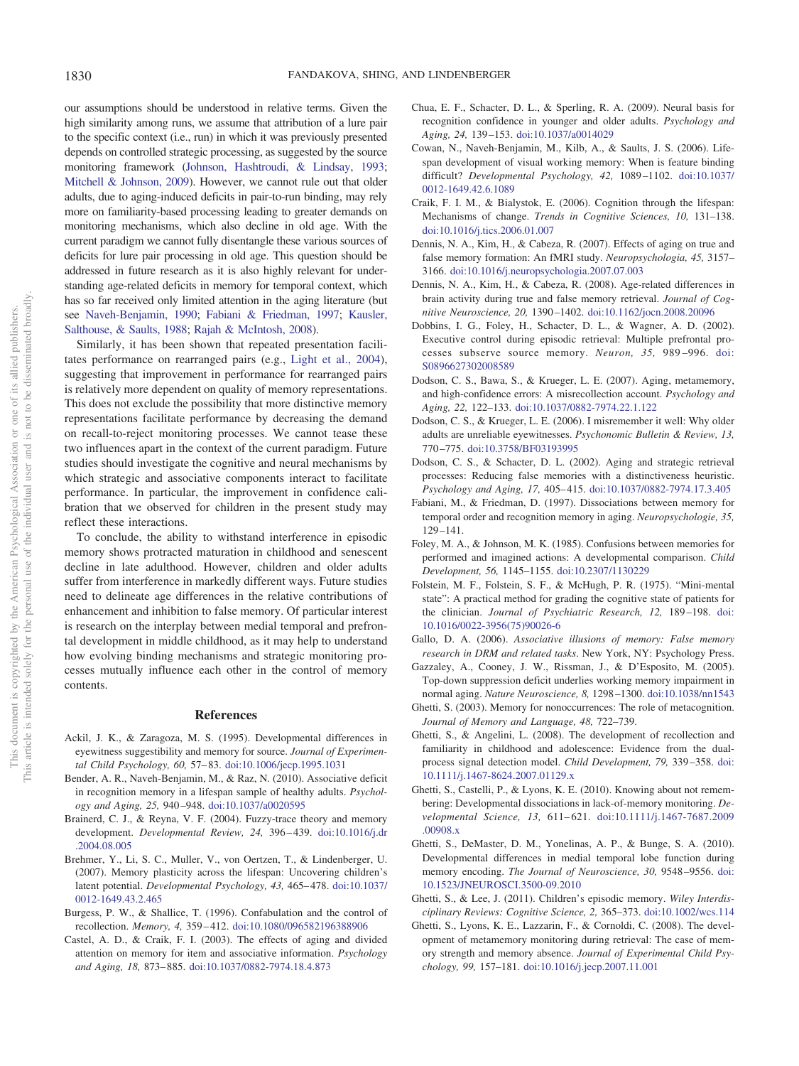<span id="page-8-15"></span>our assumptions should be understood in relative terms. Given the high similarity among runs, we assume that attribution of a lure pair to the specific context (i.e., run) in which it was previously presented depends on controlled strategic processing, as suggested by the source monitoring framework [\(Johnson, Hashtroudi, & Lindsay, 1993;](#page-9-34) [Mitchell & Johnson, 2009\)](#page-9-5). However, we cannot rule out that older adults, due to aging-induced deficits in pair-to-run binding, may rely more on familiarity-based processing leading to greater demands on monitoring mechanisms, which also decline in old age. With the current paradigm we cannot fully disentangle these various sources of deficits for lure pair processing in old age. This question should be addressed in future research as it is also highly relevant for understanding age-related deficits in memory for temporal context, which has so far received only limited attention in the aging literature (but see [Naveh-Benjamin, 1990;](#page-9-35) [Fabiani & Friedman, 1997;](#page-8-26) [Kausler,](#page-9-36) [Salthouse, & Saults, 1988;](#page-9-36) [Rajah & McIntosh, 2008\)](#page-9-37).

Similarly, it has been shown that repeated presentation facilitates performance on rearranged pairs (e.g., [Light et al., 2004\)](#page-9-26), suggesting that improvement in performance for rearranged pairs is relatively more dependent on quality of memory representations. This does not exclude the possibility that more distinctive memory representations facilitate performance by decreasing the demand on recall-to-reject monitoring processes. We cannot tease these two influences apart in the context of the current paradigm. Future studies should investigate the cognitive and neural mechanisms by which strategic and associative components interact to facilitate performance. In particular, the improvement in confidence calibration that we observed for children in the present study may reflect these interactions.

To conclude, the ability to withstand interference in episodic memory shows protracted maturation in childhood and senescent decline in late adulthood. However, children and older adults suffer from interference in markedly different ways. Future studies need to delineate age differences in the relative contributions of enhancement and inhibition to false memory. Of particular interest is research on the interplay between medial temporal and prefrontal development in middle childhood, as it may help to understand how evolving binding mechanisms and strategic monitoring processes mutually influence each other in the control of memory contents.

#### **References**

- <span id="page-8-1"></span>Ackil, J. K., & Zaragoza, M. S. (1995). Developmental differences in eyewitness suggestibility and memory for source. *Journal of Experimental Child Psychology, 60,* 57– 83. [doi:10.1006/jecp.1995.1031](http://dx.doi.org/10.1006/jecp.1995.1031)
- <span id="page-8-22"></span>Bender, A. R., Naveh-Benjamin, M., & Raz, N. (2010). Associative deficit in recognition memory in a lifespan sample of healthy adults. *Psychology and Aging, 25,* 940 –948. [doi:10.1037/a0020595](http://dx.doi.org/10.1037/a0020595)
- <span id="page-8-7"></span>Brainerd, C. J., & Reyna, V. F. (2004). Fuzzy-trace theory and memory development. *Developmental Review, 24,* 396 – 439. [doi:10.1016/j.dr](http://dx.doi.org/10.1016/j.dr.2004.08.005) [.2004.08.005](http://dx.doi.org/10.1016/j.dr.2004.08.005)
- <span id="page-8-10"></span>Brehmer, Y., Li, S. C., Muller, V., von Oertzen, T., & Lindenberger, U. (2007). Memory plasticity across the lifespan: Uncovering children's latent potential. *Developmental Psychology, 43, 465-478*. [doi:10.1037/](http://dx.doi.org/10.1037/0012-1649.43.2.465) [0012-1649.43.2.465](http://dx.doi.org/10.1037/0012-1649.43.2.465)
- <span id="page-8-13"></span>Burgess, P. W., & Shallice, T. (1996). Confabulation and the control of recollection. *Memory, 4,* 359 – 412. [doi:10.1080/096582196388906](http://dx.doi.org/10.1080/096582196388906)
- <span id="page-8-23"></span>Castel, A. D., & Craik, F. I. (2003). The effects of aging and divided attention on memory for item and associative information. *Psychology and Aging, 18,* 873– 885. [doi:10.1037/0882-7974.18.4.873](http://dx.doi.org/10.1037/0882-7974.18.4.873)
- <span id="page-8-24"></span>Chua, E. F., Schacter, D. L., & Sperling, R. A. (2009). Neural basis for recognition confidence in younger and older adults. *Psychology and Aging, 24,* 139 –153. [doi:10.1037/a0014029](http://dx.doi.org/10.1037/a0014029)
- <span id="page-8-11"></span>Cowan, N., Naveh-Benjamin, M., Kilb, A., & Saults, J. S. (2006). Lifespan development of visual working memory: When is feature binding difficult? *Developmental Psychology, 42,* 1089 –1102. [doi:10.1037/](http://dx.doi.org/10.1037/0012-1649.42.6.1089) [0012-1649.42.6.1089](http://dx.doi.org/10.1037/0012-1649.42.6.1089)
- <span id="page-8-8"></span>Craik, F. I. M., & Bialystok, E. (2006). Cognition through the lifespan: Mechanisms of change. *Trends in Cognitive Sciences, 10,* 131–138. [doi:10.1016/j.tics.2006.01.007](http://dx.doi.org/10.1016/j.tics.2006.01.007)
- <span id="page-8-3"></span>Dennis, N. A., Kim, H., & Cabeza, R. (2007). Effects of aging on true and false memory formation: An fMRI study. *Neuropsychologia, 45,* 3157– 3166. [doi:10.1016/j.neuropsychologia.2007.07.003](http://dx.doi.org/10.1016/j.neuropsychologia.2007.07.003)
- <span id="page-8-4"></span>Dennis, N. A., Kim, H., & Cabeza, R. (2008). Age-related differences in brain activity during true and false memory retrieval. *Journal of Cognitive Neuroscience, 20,* 1390 –1402. [doi:10.1162/jocn.2008.20096](http://dx.doi.org/10.1162/jocn.2008.20096)
- <span id="page-8-21"></span>Dobbins, I. G., Foley, H., Schacter, D. L., & Wagner, A. D. (2002). Executive control during episodic retrieval: Multiple prefrontal processes subserve source memory. *Neuron, 35,* 989 –996. [doi:](http://dx.doi.org/S0896627302008589) [S0896627302008589](http://dx.doi.org/S0896627302008589)
- <span id="page-8-18"></span>Dodson, C. S., Bawa, S., & Krueger, L. E. (2007). Aging, metamemory, and high-confidence errors: A misrecollection account. *Psychology and Aging, 22,* 122–133. [doi:10.1037/0882-7974.22.1.122](http://dx.doi.org/10.1037/0882-7974.22.1.122)
- <span id="page-8-17"></span>Dodson, C. S., & Krueger, L. E. (2006). I misremember it well: Why older adults are unreliable eyewitnesses. *Psychonomic Bulletin & Review, 13,* 770 –775. [doi:10.3758/BF03193995](http://dx.doi.org/10.3758/BF03193995)
- <span id="page-8-12"></span>Dodson, C. S., & Schacter, D. L. (2002). Aging and strategic retrieval processes: Reducing false memories with a distinctiveness heuristic. *Psychology and Aging, 17,* 405– 415. [doi:10.1037/0882-7974.17.3.405](http://dx.doi.org/10.1037/0882-7974.17.3.405)
- <span id="page-8-26"></span>Fabiani, M., & Friedman, D. (1997). Dissociations between memory for temporal order and recognition memory in aging. *Neuropsychologie, 35,* 129 –141.
- <span id="page-8-2"></span>Foley, M. A., & Johnson, M. K. (1985). Confusions between memories for performed and imagined actions: A developmental comparison. *Child Development, 56,* 1145–1155. [doi:10.2307/1130229](http://dx.doi.org/10.2307/1130229)
- <span id="page-8-19"></span>Folstein, M. F., Folstein, S. F., & McHugh, P. R. (1975). "Mini-mental state": A practical method for grading the cognitive state of patients for the clinician. *Journal of Psychiatric Research, 12,* 189 –198. [doi:](http://dx.doi.org/10.1016/0022-3956%2875%2990026-6) [10.1016/0022-3956\(75\)90026-6](http://dx.doi.org/10.1016/0022-3956%2875%2990026-6)
- <span id="page-8-5"></span>Gallo, D. A. (2006). *Associative illusions of memory: False memory research in DRM and related tasks*. New York, NY: Psychology Press.
- <span id="page-8-20"></span>Gazzaley, A., Cooney, J. W., Rissman, J., & D'Esposito, M. (2005). Top-down suppression deficit underlies working memory impairment in normal aging. *Nature Neuroscience, 8,* 1298 –1300. [doi:10.1038/nn1543](http://dx.doi.org/10.1038/nn1543)
- <span id="page-8-14"></span>Ghetti, S. (2003). Memory for nonoccurrences: The role of metacognition. *Journal of Memory and Language, 48,* 722–739.
- <span id="page-8-6"></span>Ghetti, S., & Angelini, L. (2008). The development of recollection and familiarity in childhood and adolescence: Evidence from the dualprocess signal detection model. *Child Development, 79,* 339 –358. [doi:](http://dx.doi.org/10.1111/j.1467-8624.2007.01129.x) [10.1111/j.1467-8624.2007.01129.x](http://dx.doi.org/10.1111/j.1467-8624.2007.01129.x)
- <span id="page-8-9"></span>Ghetti, S., Castelli, P., & Lyons, K. E. (2010). Knowing about not remembering: Developmental dissociations in lack-of-memory monitoring. *Developmental Science, 13,* 611– 621. [doi:10.1111/j.1467-7687.2009](http://dx.doi.org/10.1111/j.1467-7687.2009.00908.x) [.00908.x](http://dx.doi.org/10.1111/j.1467-7687.2009.00908.x)
- <span id="page-8-25"></span>Ghetti, S., DeMaster, D. M., Yonelinas, A. P., & Bunge, S. A. (2010). Developmental differences in medial temporal lobe function during memory encoding. *The Journal of Neuroscience, 30,* 9548 –9556. [doi:](http://dx.doi.org/10.1523/JNEUROSCI.3500-09.2010) [10.1523/JNEUROSCI.3500-09.2010](http://dx.doi.org/10.1523/JNEUROSCI.3500-09.2010)
- <span id="page-8-0"></span>Ghetti, S., & Lee, J. (2011). Children's episodic memory. *Wiley Interdisciplinary Reviews: Cognitive Science, 2,* 365–373. [doi:10.1002/wcs.114](http://dx.doi.org/10.1002/wcs.114)
- <span id="page-8-16"></span>Ghetti, S., Lyons, K. E., Lazzarin, F., & Cornoldi, C. (2008). The development of metamemory monitoring during retrieval: The case of memory strength and memory absence. *Journal of Experimental Child Psychology, 99,* 157–181. [doi:10.1016/j.jecp.2007.11.001](http://dx.doi.org/10.1016/j.jecp.2007.11.001)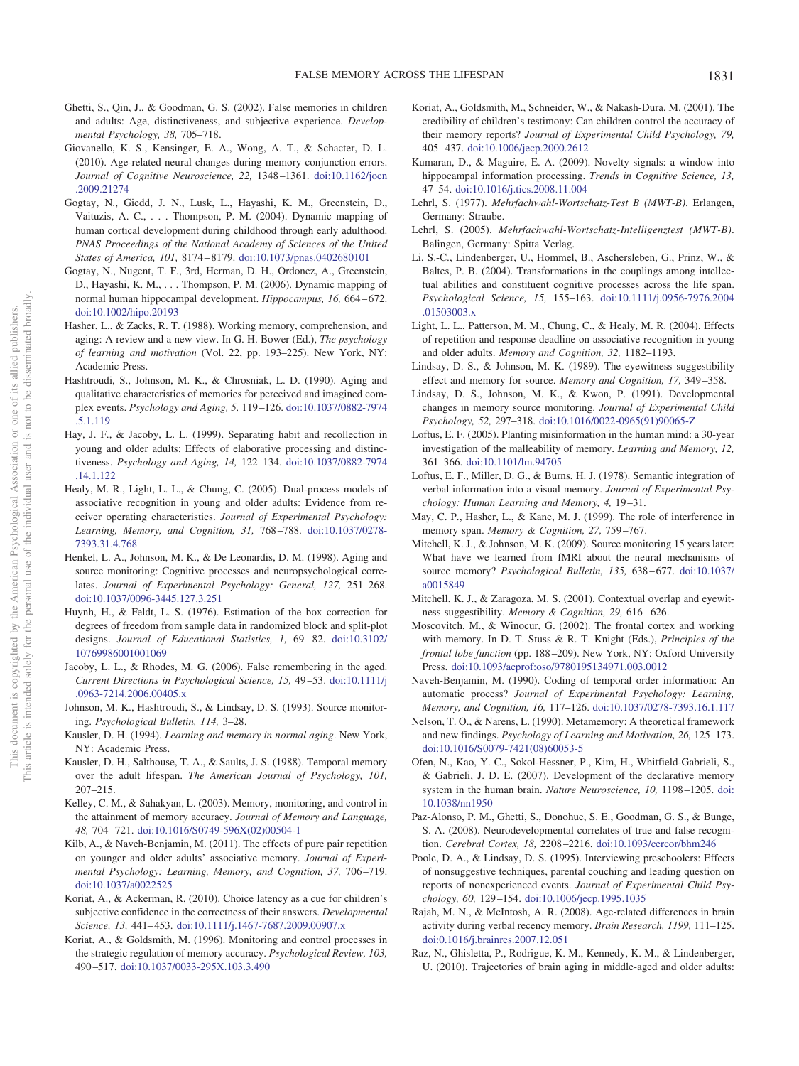- Ghetti, S., Qin, J., & Goodman, G. S. (2002). False memories in children and adults: Age, distinctiveness, and subjective experience. *Developmental Psychology, 38,* 705–718.
- <span id="page-9-7"></span>Giovanello, K. S., Kensinger, E. A., Wong, A. T., & Schacter, D. L. (2010). Age-related neural changes during memory conjunction errors. *Journal of Cognitive Neuroscience, 22,* 1348 –1361. [doi:10.1162/jocn](http://dx.doi.org/10.1162/jocn.2009.21274) [.2009.21274](http://dx.doi.org/10.1162/jocn.2009.21274)
- <span id="page-9-13"></span>Gogtay, N., Giedd, J. N., Lusk, L., Hayashi, K. M., Greenstein, D., Vaituzis, A. C.,... Thompson, P. M. (2004). Dynamic mapping of human cortical development during childhood through early adulthood. *PNAS Proceedings of the National Academy of Sciences of the United States of America, 101,* 8174 – 8179. [doi:10.1073/pnas.0402680101](http://dx.doi.org/10.1073/pnas.0402680101)
- <span id="page-9-15"></span>Gogtay, N., Nugent, T. F., 3rd, Herman, D. H., Ordonez, A., Greenstein, D., Hayashi, K. M.,... Thompson, P. M. (2006). Dynamic mapping of normal human hippocampal development. *Hippocampus, 16,* 664 – 672. [doi:10.1002/hipo.20193](http://dx.doi.org/10.1002/hipo.20193)
- <span id="page-9-31"></span>Hasher, L., & Zacks, R. T. (1988). Working memory, comprehension, and aging: A review and a new view. In G. H. Bower (Ed.), *The psychology of learning and motivation* (Vol. 22, pp. 193–225). New York, NY: Academic Press.
- <span id="page-9-3"></span>Hashtroudi, S., Johnson, M. K., & Chrosniak, L. D. (1990). Aging and qualitative characteristics of memories for perceived and imagined complex events. *Psychology and Aging, 5,* 119 –126. [doi:10.1037/0882-7974](http://dx.doi.org/10.1037/0882-7974.5.1.119) [.5.1.119](http://dx.doi.org/10.1037/0882-7974.5.1.119)
- <span id="page-9-19"></span>Hay, J. F., & Jacoby, L. L. (1999). Separating habit and recollection in young and older adults: Effects of elaborative processing and distinctiveness. *Psychology and Aging, 14,* 122–134. [doi:10.1037/0882-7974](http://dx.doi.org/10.1037/0882-7974.14.1.122) [.14.1.122](http://dx.doi.org/10.1037/0882-7974.14.1.122)
- <span id="page-9-12"></span>Healy, M. R., Light, L. L., & Chung, C. (2005). Dual-process models of associative recognition in young and older adults: Evidence from receiver operating characteristics. *Journal of Experimental Psychology: Learning, Memory, and Cognition, 31,* 768 –788. [doi:10.1037/0278-](http://dx.doi.org/10.1037/0278-7393.31.4.768) [7393.31.4.768](http://dx.doi.org/10.1037/0278-7393.31.4.768)
- <span id="page-9-4"></span>Henkel, L. A., Johnson, M. K., & De Leonardis, D. M. (1998). Aging and source monitoring: Cognitive processes and neuropsychological correlates. *Journal of Experimental Psychology: General, 127,* 251–268. [doi:10.1037/0096-3445.127.3.251](http://dx.doi.org/10.1037/0096-3445.127.3.251)
- <span id="page-9-30"></span>Huynh, H., & Feldt, L. S. (1976). Estimation of the box correction for degrees of freedom from sample data in randomized block and split-plot designs. *Journal of Educational Statistics, 1,* 69 – 82. [doi:10.3102/](http://dx.doi.org/10.3102/10769986001001069) [10769986001001069](http://dx.doi.org/10.3102/10769986001001069)
- <span id="page-9-0"></span>Jacoby, L. L., & Rhodes, M. G. (2006). False remembering in the aged. *Current Directions in Psychological Science, 15,* 49 –53. [doi:10.1111/j](http://dx.doi.org/10.1111/j.0963-7214.2006.00405.x) [.0963-7214.2006.00405.x](http://dx.doi.org/10.1111/j.0963-7214.2006.00405.x)
- <span id="page-9-34"></span>Johnson, M. K., Hashtroudi, S., & Lindsay, D. S. (1993). Source monitoring. *Psychological Bulletin, 114,* 3–28.
- <span id="page-9-17"></span>Kausler, D. H. (1994). *Learning and memory in normal aging*. New York, NY: Academic Press.
- <span id="page-9-36"></span>Kausler, D. H., Salthouse, T. A., & Saults, J. S. (1988). Temporal memory over the adult lifespan. *The American Journal of Psychology, 101,* 207–215.
- <span id="page-9-24"></span>Kelley, C. M., & Sahakyan, L. (2003). Memory, monitoring, and control in the attainment of memory accuracy. *Journal of Memory and Language, 48,* 704 –721. [doi:10.1016/S0749-596X\(02\)00504-1](http://dx.doi.org/10.1016/S0749-596X%2802%2900504-1)
- <span id="page-9-25"></span>Kilb, A., & Naveh-Benjamin, M. (2011). The effects of pure pair repetition on younger and older adults' associative memory. *Journal of Experimental Psychology: Learning, Memory, and Cognition, 37,* 706 –719. [doi:10.1037/a0022525](http://dx.doi.org/10.1037/a0022525)
- <span id="page-9-33"></span>Koriat, A., & Ackerman, R. (2010). Choice latency as a cue for children's subjective confidence in the correctness of their answers. *Developmental Science, 13,* 441– 453. [doi:10.1111/j.1467-7687.2009.00907.x](http://dx.doi.org/10.1111/j.1467-7687.2009.00907.x)
- <span id="page-9-21"></span>Koriat, A., & Goldsmith, M. (1996). Monitoring and control processes in the strategic regulation of memory accuracy. *Psychological Review, 103,* 490 –517. [doi:10.1037/0033-295X.103.3.490](http://dx.doi.org/10.1037/0033-295X.103.3.490)
- <span id="page-9-23"></span>Koriat, A., Goldsmith, M., Schneider, W., & Nakash-Dura, M. (2001). The credibility of children's testimony: Can children control the accuracy of their memory reports? *Journal of Experimental Child Psychology, 79,* 405– 437. [doi:10.1006/jecp.2000.2612](http://dx.doi.org/10.1006/jecp.2000.2612)
- <span id="page-9-32"></span>Kumaran, D., & Maguire, E. A. (2009). Novelty signals: a window into hippocampal information processing. *Trends in Cognitive Science, 13,* 47–54. [doi:10.1016/j.tics.2008.11.004](http://dx.doi.org/10.1016/j.tics.2008.11.004)
- <span id="page-9-27"></span>Lehrl, S. (1977). *Mehrfachwahl-Wortschatz-Test B (MWT-B)*. Erlangen, Germany: Straube.
- <span id="page-9-28"></span>Lehrl, S. (2005). *Mehrfachwahl-Wortschatz-Intelligenztest (MWT-B)*. Balingen, Germany: Spitta Verlag.
- <span id="page-9-29"></span>Li, S.-C., Lindenberger, U., Hommel, B., Aschersleben, G., Prinz, W., & Baltes, P. B. (2004). Transformations in the couplings among intellectual abilities and constituent cognitive processes across the life span. *Psychological Science, 15,* 155–163. [doi:10.1111/j.0956-7976.2004](http://dx.doi.org/10.1111/j.0956-7976.2004.01503003.x) [.01503003.x](http://dx.doi.org/10.1111/j.0956-7976.2004.01503003.x)
- <span id="page-9-26"></span>Light, L. L., Patterson, M. M., Chung, C., & Healy, M. R. (2004). Effects of repetition and response deadline on associative recognition in young and older adults. *Memory and Cognition, 32,* 1182–1193.
- <span id="page-9-9"></span>Lindsay, D. S., & Johnson, M. K. (1989). The eyewitness suggestibility effect and memory for source. *Memory and Cognition, 17,* 349 –358.
- <span id="page-9-2"></span>Lindsay, D. S., Johnson, M. K., & Kwon, P. (1991). Developmental changes in memory source monitoring. *Journal of Experimental Child Psychology, 52,* 297–318. [doi:10.1016/0022-0965\(91\)90065-Z](http://dx.doi.org/10.1016/0022-0965%2891%2990065-Z)
- <span id="page-9-10"></span>Loftus, E. F. (2005). Planting misinformation in the human mind: a 30-year investigation of the malleability of memory. *Learning and Memory, 12,* 361–366. [doi:10.1101/lm.94705](http://dx.doi.org/10.1101/lm.94705)
- <span id="page-9-8"></span>Loftus, E. F., Miller, D. G., & Burns, H. J. (1978). Semantic integration of verbal information into a visual memory. *Journal of Experimental Psychology: Human Learning and Memory, 4,* 19 –31.
- <span id="page-9-20"></span>May, C. P., Hasher, L., & Kane, M. J. (1999). The role of interference in memory span. *Memory & Cognition, 27,* 759 –767.
- <span id="page-9-5"></span>Mitchell, K. J., & Johnson, M. K. (2009). Source monitoring 15 years later: What have we learned from fMRI about the neural mechanisms of source memory? *Psychological Bulletin, 135,* 638 – 677. [doi:10.1037/](http://dx.doi.org/10.1037/a0015849) [a0015849](http://dx.doi.org/10.1037/a0015849)
- <span id="page-9-11"></span>Mitchell, K. J., & Zaragoza, M. S. (2001). Contextual overlap and eyewitness suggestibility. *Memory & Cognition, 29,* 616 – 626.
- <span id="page-9-18"></span>Moscovitch, M., & Winocur, G. (2002). The frontal cortex and working with memory. In D. T. Stuss & R. T. Knight (Eds.), *Principles of the frontal lobe function* (pp. 188 –209). New York, NY: Oxford University Press. [doi:10.1093/acprof:oso/9780195134971.003.0012](http://dx.doi.org/10.1093/acprof:oso/9780195134971.003.0012)
- <span id="page-9-35"></span>Naveh-Benjamin, M. (1990). Coding of temporal order information: An automatic process? *Journal of Experimental Psychology: Learning, Memory, and Cognition, 16,* 117–126. [doi:10.1037/0278-7393.16.1.117](http://dx.doi.org/10.1037/0278-7393.16.1.117)
- <span id="page-9-22"></span>Nelson, T. O., & Narens, L. (1990). Metamemory: A theoretical framework and new findings. *Psychology of Learning and Motivation, 26,* 125–173. [doi:10.1016/S0079-7421\(08\)60053-5](http://dx.doi.org/10.1016/S0079-7421%2808%2960053-5)
- <span id="page-9-14"></span>Ofen, N., Kao, Y. C., Sokol-Hessner, P., Kim, H., Whitfield-Gabrieli, S., & Gabrieli, J. D. E. (2007). Development of the declarative memory system in the human brain. *Nature Neuroscience, 10,* 1198 –1205. [doi:](http://dx.doi.org/10.1038/nn1950) [10.1038/nn1950](http://dx.doi.org/10.1038/nn1950)
- <span id="page-9-6"></span>Paz-Alonso, P. M., Ghetti, S., Donohue, S. E., Goodman, G. S., & Bunge, S. A. (2008). Neurodevelopmental correlates of true and false recognition. *Cerebral Cortex, 18,* 2208 –2216. [doi:10.1093/cercor/bhm246](http://dx.doi.org/10.1093/cercor/bhm246)
- <span id="page-9-1"></span>Poole, D. A., & Lindsay, D. S. (1995). Interviewing preschoolers: Effects of nonsuggestive techniques, parental couching and leading question on reports of nonexperienced events. *Journal of Experimental Child Psychology, 60,* 129 –154. [doi:10.1006/jecp.1995.1035](http://dx.doi.org/10.1006/jecp.1995.1035)
- <span id="page-9-37"></span>Rajah, M. N., & McIntosh, A. R. (2008). Age-related differences in brain activity during verbal recency memory. *Brain Research, 1199,* 111–125. [doi:0.1016/j.brainres.2007.12.051](http://dx.doi.org/0.1016/j.brainres.2007.12.051)
- <span id="page-9-16"></span>Raz, N., Ghisletta, P., Rodrigue, K. M., Kennedy, K. M., & Lindenberger, U. (2010). Trajectories of brain aging in middle-aged and older adults: